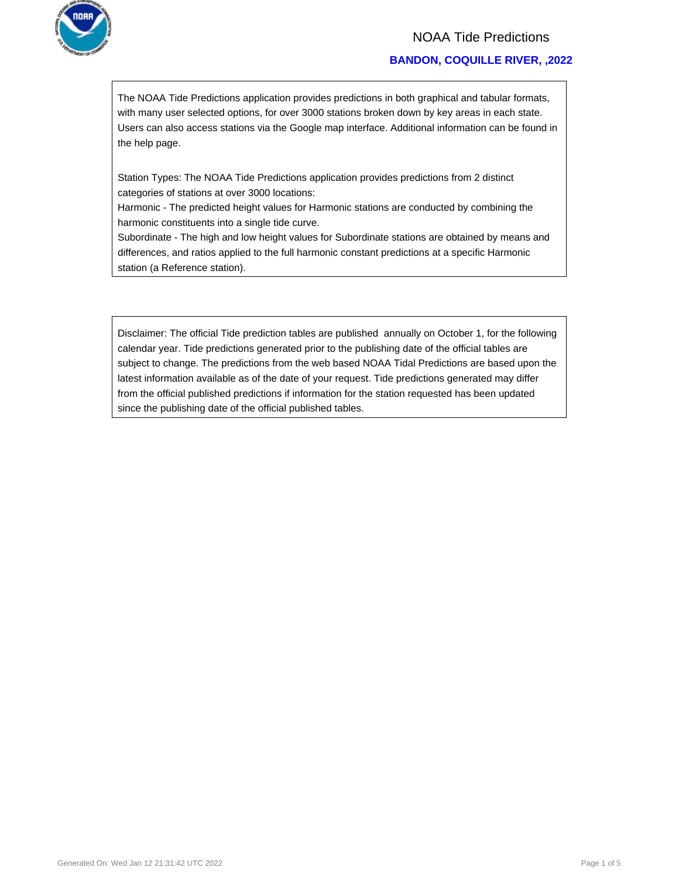

## NOAA Tide Predictions

### **BANDON, COQUILLE RIVER, ,2022**

The NOAA Tide Predictions application provides predictions in both graphical and tabular formats, with many user selected options, for over 3000 stations broken down by key areas in each state. Users can also access stations via the Google map interface. Additional information can be found in the help page.

Station Types: The NOAA Tide Predictions application provides predictions from 2 distinct categories of stations at over 3000 locations:

Harmonic - The predicted height values for Harmonic stations are conducted by combining the harmonic constituents into a single tide curve.

Subordinate - The high and low height values for Subordinate stations are obtained by means and differences, and ratios applied to the full harmonic constant predictions at a specific Harmonic station (a Reference station).

Disclaimer: The official Tide prediction tables are published annually on October 1, for the following calendar year. Tide predictions generated prior to the publishing date of the official tables are subject to change. The predictions from the web based NOAA Tidal Predictions are based upon the latest information available as of the date of your request. Tide predictions generated may differ from the official published predictions if information for the station requested has been updated since the publishing date of the official published tables.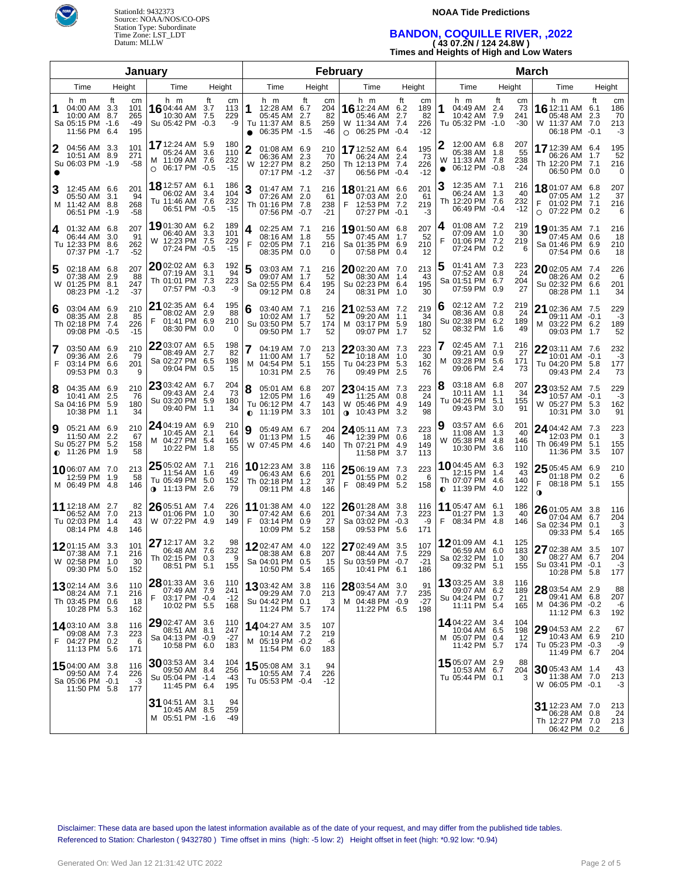

### **NOAA Tide Predictions**

# **BANDON, COQUILLE RIVER, ,2022 ( 43 07.2N / 124 24.8W )**

**Times and Heights of High and Low Waters**

| January |                                                                            |        |                                |                                                                         |                      |                              | February          |                                                                           |    |                               |   |                                                                                  |           | <b>March</b>                    |                |                                                                         |     |                           |                                                                           |           |                              |
|---------|----------------------------------------------------------------------------|--------|--------------------------------|-------------------------------------------------------------------------|----------------------|------------------------------|-------------------|---------------------------------------------------------------------------|----|-------------------------------|---|----------------------------------------------------------------------------------|-----------|---------------------------------|----------------|-------------------------------------------------------------------------|-----|---------------------------|---------------------------------------------------------------------------|-----------|------------------------------|
|         | Time                                                                       | Height |                                | Time                                                                    | Height               |                              |                   | Time                                                                      |    | Height                        |   | Time                                                                             |           | Height                          |                | Time                                                                    |     | Height                    | Time                                                                      |           | Height                       |
|         | h m<br>04:00 AM 3.3<br>10:00 AM 8.7<br>Sa 05:15 PM -1.6<br>11:56 PM 6.4    | ft     | cm<br>101<br>265<br>-49<br>195 | h m<br>1604:44 AM<br>10:30 AM<br>Su 05:42 PM -0.3                       | ft<br>3.7<br>7.5     | cm<br>113<br>229<br>-9       | 1<br>$\bullet$    | h m<br>12:28 AM 6.7<br>05:45 AM 2.7<br>Tu 11:37 AM 8.5<br>06:35 PM -1.5   | ft | cm<br>204<br>82<br>259<br>-46 |   | h m<br><b>16</b> 12:24 AM<br>05:46 AM 2.7<br>W 11:34 AM 7.4<br>$O$ 06:25 PM -0.4 | ft<br>6.2 | сm<br>189<br>82<br>226<br>$-12$ | 1              | h m<br>04:49 AM 2.4<br>10:42 AM 7.9<br>Tu 05:32 PM -1.0                 | ft  | cm<br>73<br>241<br>$-30$  | h m<br>16 12:11 AM 6.1<br>05:48 AM<br>W 11:37 AM 7.0<br>06:18 PM -0.1     | ft<br>2.3 | cm<br>186<br>70<br>213<br>-3 |
|         | 04:56 AM 3.3<br>10:51 AM 8.9<br>Su 06:03 PM -1.9                           |        | 101<br>271<br>-58              | <b>17</b> 12:24 AM<br>05:24 AM<br>M 11:09 AM 7.6<br>06:17 PM<br>$\circ$ | 5.9<br>3.6<br>$-0.5$ | 180<br>110<br>232<br>$-15$   | $\mathbf{2}$<br>W | 01:08 AM 6.9<br>06:36 AM 2.3<br>12:27 PM 8.2<br>07:17 PM -1.2             |    | 210<br>70<br>250<br>-37       |   | 17 12:52 AM 6.4<br>06:24 AM 2.4<br>Th 12:13 PM 7.4<br>06:56 PM -0.4              |           | 195<br>73<br>226<br>$-12$       | W<br>$\bullet$ | 12:00 AM 6.8<br>05:38 AM 1.8<br>11:33 AM 7.8<br>06:12 PM -0.8           |     | 207<br>55<br>238<br>$-24$ | 17 12:39 AM 6.4<br>06:26 AM 1.7<br>Th 12:20 PM 7.1<br>06:50 PM 0.0        |           | 195<br>52<br>216<br>0        |
|         | 12:45 AM 6.6<br>05:50 AM 3.1<br>M 11:42 AM 8.8<br>06:51 PM -1.9            |        | 201<br>94<br>268<br>-58        | 18 12:57 AM 6.1<br>06:02 AM<br>Tu 11:46 AM<br>06:51 PM                  | 3.4<br>7.6<br>$-0.5$ | 186<br>104<br>232<br>$-15$   | 3                 | 01:47 AM 7.1<br>07:26 AM 2.0<br>Th 01:16 PM 7.8<br>07:56 PM -0.7          |    | 216<br>61<br>238<br>$-21$     | F | 1801:21 AM 6.6<br>07:03 AM 2.0<br>12:53 PM 7.2<br>07:27 PM -0.1                  |           | 201<br>61<br>219<br>-3          |                | 12:35 AM 7.1<br>06:24 AM 1.3<br>Th 12:20 PM 7.6<br>06:49 PM -0.4        |     | 216<br>40<br>232<br>$-12$ | 1801:07 AM 6.8<br>07:05 AM 1.2<br>01:02 PM 7.1<br>07:22 PM 0.2<br>$\circ$ |           | 207<br>37<br>216<br>6        |
|         | 4 01:32 AM 6.8<br>06:44 AM 3.0<br>Tu 12:33 PM 8.6<br>07:37 PM -1.7         |        | 207<br>91<br>262<br>-52        | 1901:30 AM 6.2<br>06:40 AM<br>12:23 PM<br>W<br>07:24 PM                 | 3.3<br>7.5<br>$-0.5$ | 189<br>101<br>229<br>$-15$   | 4<br>F            | 02:25 AM 7.1<br>08:16 AM 1.8<br>02:05 PM 7.1<br>08:35 PM 0.0              |    | 216<br>55<br>216<br>0         |   | 1901:50 AM 6.8<br>07:45 AM<br>Sa 01:35 PM 6.9<br>07:58 PM 0.4                    | $-1.7$    | 207<br>52<br>210<br>12          | 4<br>F         | 01:08 AM 7.2<br>07:09 AM 1.0<br>01:06 PM 7.2<br>07:24 PM 0.2            |     | 219<br>30<br>219<br>6     | 1901:35 AM 7.1<br>07:45 AM 0.6<br>Sa 01:46 PM 6.9<br>07:54 PM 0.6         |           | 216<br>18<br>210<br>18       |
| 5       | 02:18 AM 6.8<br>07:38 AM 2.9<br>W 01:25 PM 8.1<br>08:23 PM -1.2            |        | 207<br>88<br>247<br>-37        | 2002:02 AM 6.3<br>07:19 AM<br>Th 01:01 PM<br>07:57 PM                   | 3.1<br>7.3<br>$-0.3$ | 192<br>94<br>223<br>-9       | 5                 | 03:03 AM 7.1<br>09:07 AM 1.7<br>Sa 02:55 PM 6.4<br>09:12 PM 0.8           |    | 216<br>52<br>195<br>24        |   | 2002:20 AM 7.0<br>08:30 AM 1.4<br>Su 02:23 PM 6.4<br>08:31 PM 1.0                |           | 213<br>43<br>195<br>30          | 5              | 01:41 AM 7.3<br>07:52 AM 0.8<br>Sa 01:51 PM 6.7<br>07:59 PM 0.9         |     | 223<br>24<br>204<br>27    | 2002:05 AM 7.4<br>08:26 AM 0.2<br>Su 02:32 PM 6.6<br>08:28 PM 1.1         |           | 226<br>6<br>201<br>34        |
| 6       | 03:04 AM 6.9<br>08:35 AM 2.8<br>Th 02:18 PM 7.4<br>09:08 PM -0.5           |        | 210<br>85<br>226<br>$-15$      | 21 02:35 AM 6.4<br>08:02 AM<br>01:41 PM<br>08:30 PM                     | 2.9<br>6.9<br>0.0    | 195<br>88<br>210<br>$\Omega$ | 6                 | 03:40 AM 7.1<br>10:02 AM 1.7<br>Su 03:50 PM 5.7<br>09:50 PM 1.7           |    | 216<br>52<br>174<br>52        |   | 21 02:53 AM 7.2<br>09:20 AM 1.1<br>M 03:17 PM 5.9<br>09:07 PM 1.7                |           | 219<br>34<br>180<br>52          | 6              | 02:12 AM 7.2<br>08:36 AM 0.8<br>Su 02:38 PM 6.2<br>08:32 PM             | 1.6 | 219<br>24<br>189<br>49    | 21 02:36 AM 7.5<br>09:11 AM -0.1<br>M 03:22 PM 6.2<br>09:03 PM 1.7        |           | 229<br>-3<br>189<br>52       |
| 7<br>F  | 03:50 AM 6.9<br>09:36 AM 2.6<br>03:14 PM 6.6<br>09:53 PM 0.3               |        | 210<br>79<br>201<br>9          | 22 03:07 AM 6.5<br>08:49 AM<br>Sa 02:27 PM<br>09:04 PM                  | 2.7<br>6.5<br>0.5    | 198<br>82<br>198<br>15       |                   | 04:19 AM 7.0<br>11:00 AM 1.7<br>M 04:54 PM 5.1<br>10:31 PM 2.5            |    | 213<br>52<br>155<br>76        |   | 22 03:30 AM 7.3<br>Tu 04:23 PM 5.3<br>09:49 PM 2.5                               |           | 223<br>30<br>162<br>76          | M              | 02:45 AM 7.1<br>09:21 AM 0.9<br>03:28 PM 5.6<br>09:06 PM 2.4            |     | 216<br>27<br>171<br>73    | 22 03:11 AM 7.6<br>10:01 AM -0.1<br>Tu 04:20 PM 5.8<br>09:43 PM 2.4       |           | 232<br>-3<br>177<br>73       |
| 8       | 04:35 AM 6.9<br>10:41 AM 2.5<br>Sa 04:16 PM 5.9<br>10:38 PM 1.1            |        | 210<br>76<br>180<br>34         | 23 03:42 AM 6.7<br>09:43 AM<br>Su 03:20 PM<br>09:40 PM                  | -2.4<br>5.9<br>1.1   | 204<br>-73<br>180<br>34      | 8<br>0            | 05:01 AM 6.8<br>12:05 PM 1.6<br>Tu 06:12 PM 4.7<br>11:19 PM 3.3           |    | 207<br>49<br>143<br>101       |   | 23 04:15 AM 7.3<br>11:25 AM 0.8<br>W 05:46 PM 4.9<br>$0.10:43 \text{ PM}$ 3.2    |           | 223<br>24<br>149<br>98          | 8              | 03:18 AM 6.8<br>10:11 AM 1.1<br>Tu 04:26 PM 5.1<br>09:43 PM             | 3.0 | 207<br>34<br>155<br>91    | $2303:52$ AM 7.5<br>10:57 AM -0.1<br>W 05:27 PM 5.3<br>10:31 PM 3.0       |           | 229<br>-3<br>162<br>91       |
| 9       | 05:21 AM 6.9<br>11:50 AM 2.2<br>Su 05:27 PM 5.2<br>$\bullet$ 11:26 PM 1.9  |        | 210<br>67<br>158<br>58         | 24 04:19 AM 6.9<br>10:45 AM<br>M 04:27 PM<br>10:22 PM                   | 2.1<br>-5.4<br>1.8   | 210<br>64<br>165<br>55       | 9                 | 05:49 AM 6.7<br>01:13 PM 1.5<br>W 07:45 PM 4.6                            |    | 204<br>46<br>140              |   | 24 05:11 AM 7.3<br>12:39 PM 0.6<br>Th 07:21 PM 4.9<br>11:58 PM                   | 3.7       | 223<br>-18<br>149<br>113        | 9<br>W         | 03:57 AM 6.6<br>11:08 AM 1.3<br>05:38 PM 4.8<br>10:30 PM 3.6            |     | 201<br>40<br>146<br>110   | 24 04:42 AM 7.3<br>12:03 PM 0.1<br>Th 06:49 PM 5.1<br>11:36 PM 3.5        |           | 223<br>3<br>155<br>107       |
|         | 1006:07 AM 7.0<br>12:59 PM 1.9<br>M 06:49 PM 4.8                           |        | 213<br>58<br>146               | $2505:02$ AM $7.1$<br>11:54 AM<br>Tu 05:49 PM<br>$0$ 11:13 PM           | 1.6<br>5.0<br>2.6    | 216<br>49<br>152<br>79       |                   | <b>10</b> 12:23 AM 3.8<br>06:43 AM 6.6<br>Th 02:18 PM 1.2<br>09:11 PM 4.8 |    | 116<br>201<br>37<br>146       | F | 25 06:19 AM 7.3<br>01:55 PM 0.2<br>08:49 PM 5.2                                  |           | 223<br>-6<br>158                |                | 1004:45 AM 6.3<br>12:15 PM 1.4<br>Th 07:07 PM 4.6<br>$\bullet$ 11:39 PM | 4.0 | 192<br>43<br>140<br>122   | $2505:45$ AM 6.9<br>01:18 PM 0.2<br>F<br>08:18 PM 5.1<br>$\bullet$        |           | 210<br>6<br>155              |
|         | 11 12:18 AM 2.7<br>06:52 AM 7.0<br>Tu 02:03 PM<br>08:14 PM 4.8             | 1.4    | 82<br>213<br>43<br>146         | 26 05:51 AM 7.4<br>01:06 PM<br>W 07:22 PM                               | 1.0<br>4.9           | 226<br>30<br>149             | F                 | 11 01:38 AM 4.0<br>07:42 AM 6.6<br>03:14 PM 0.9<br>10:09 PM 5.2           |    | 122<br>201<br>27<br>158       |   | 26 01:28 AM 3.8<br>07:34 AM 7.3<br>Sa 03:02 PM -0.3<br>09:53 PM                  | 5.6       | 116<br>223<br>-9<br>171         | F              | 11 05:47 AM 6.1<br>01:27 PM 1.3<br>08:34 PM 4.8                         |     | 186<br>40<br>146          | $2601:05$ AM 3.8<br>07:04 AM 6.7<br>Sa 02:34 PM 0.1<br>09:33 PM 5.4       |           | 116<br>204<br>3<br>165       |
|         | <b>12</b> 01:15 AM 3.3<br>07:38 AM 7.1<br>W 02:58 PM 1.0<br>09:30 PM 5.0   |        | 101<br>216<br>30<br>152        | 27 12:17 AM 3.2<br>06:48 AM<br>Th 02:15 PM<br>08:51 PM 5.1              | 7.6<br>0.3           | 98<br>232<br>9<br>155        |                   | 1202:47 AM 4.0<br>08:38 AM 6.8<br>Sa 04:01 PM 0.5<br>10:50 PM 5.4         |    | 122<br>207<br>15<br>165       |   | 27 02:49 AM 3.5<br>08:44 AM 7.5<br>Su 03:59 PM -0.7<br>10:41 PM 6.1              |           | 107<br>229<br>$-21$<br>186      |                | 1201:09 AM 4.1<br>06:59 AM 6.0<br>Sa 02:32 PM 1.0<br>09:32 PM 5.1       |     | 125<br>183<br>30<br>155   | 27 02:38 AM 3.5<br>08:27 AM 6.7<br>Su 03:41 PM -0.1<br>10:28 PM 5.8       |           | 107<br>204<br>-3<br>177      |
|         | 1302:14 AM 3.6<br>08:24 AM 7.1<br>Th 03:45 PM 0.6<br>10:28 PM 5.3          |        | 110<br>216<br>-18<br>162       | $28$ 01:33 AM 3.6<br>07:49 AM 7.9<br>F<br>03:17 PM -0.4<br>10:02 PM 5.5 |                      | 110<br>241<br>-12<br>168     |                   | 1303:42 AM 3.8<br>09:29 AM 7.0<br>Su 04:42 PM 0.1<br>11:24 PM 5.7         |    | 116<br>213<br>3<br>174        |   | 28 03:54 AM 3.0<br>09:47 AM 7.7<br>M 04:48 PM -0.9<br>11:22 PM 6.5               |           | 91<br>235<br>$-27$<br>198       |                | 13 03:25 AM 3.8<br>09:07 AM 6.2<br>Su 04:24 PM 0.7<br>11:11 PM 5.4      |     | 116<br>189<br>21<br>165   | 28 03:54 AM 2.9<br>09:41 AM 6.8<br>M 04:36 PM -0.2<br>11:12 PM 6.3        |           | 88<br>207<br>-6<br>192       |
| F       | <b>14</b> 03:10 AM 3.8<br>09:08 AM 7.3<br>04:27 PM 0.2<br>11:13 PM 5.6     |        | 116<br>223<br>6<br>171         | 29 02:47 AM 3.6<br>08:51 AM 8.1<br>Sa 04:13 PM -0.9<br>10:58 PM 6.0     |                      | 110<br>247<br>-27<br>183     |                   | 14 04:27 AM 3.5<br>10:14 AM 7.2<br>M 05:19 PM -0.2<br>11:54 PM 6.0        |    | 107<br>219<br>-6<br>183       |   |                                                                                  |           |                                 |                | 14 04:22 AM 3.4<br>10:04 AM 6.5<br>M 05:07 PM 0.4<br>11:42 PM 5.7       |     | 104<br>198<br>-12<br>174  | 29 04:53 AM 2.2<br>10:43 AM 6.9<br>Tu 05:23 PM -0.3<br>11:49 PM 6.7       |           | 67<br>210<br>-9<br>204       |
|         | <b>15</b> 04:00 AM 3.8<br>09:50 AM 7.4<br>Sa 05:06 PM -0.1<br>11:50 PM 5.8 |        | 116<br>226<br>-3<br>177        | $30$ 03:53 AM 3.4<br>09:50 AM 8.4<br>Su 05:04 PM -1.4<br>11:45 PM 6.4   |                      | 104<br>256<br>-43<br>195     |                   | 15 05:08 AM 3.1<br>10:55 AM 7.4<br>Tu 05:53 PM -0.4                       |    | 94<br>226<br>$-12$            |   |                                                                                  |           |                                 |                | 1505:07 AM 2.9<br>10:53 AM 6.7<br>Tu 05:44 PM 0.1                       |     | 88<br>204<br>3            | 30 05:43 AM 1.4<br>11:38 AM 7.0<br>W 06:05 PM -0.1                        |           | 43<br>213<br>-3              |
|         |                                                                            |        |                                | 31 04:51 AM 3.1<br>10:45 AM 8.5<br>M 05:51 PM -1.6                      |                      | 94<br>259<br>-49             |                   |                                                                           |    |                               |   |                                                                                  |           |                                 |                |                                                                         |     |                           | 31 12:23 AM 7.0<br>06:28 AM 0.8<br>Th 12:27 PM 7.0<br>06:42 PM 0.2        |           | 213<br>24<br>213<br>6        |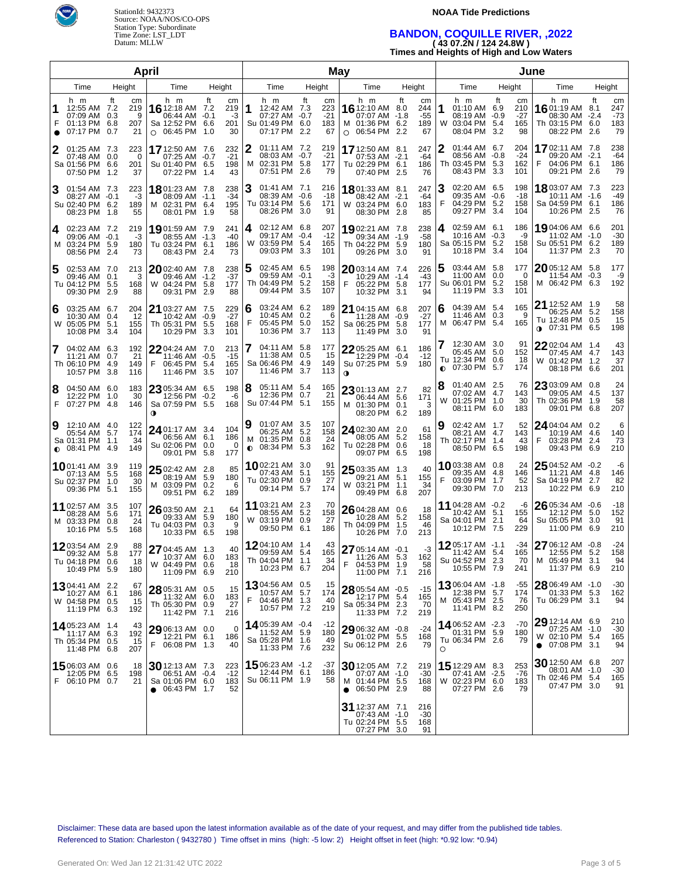

### **NOAA Tide Predictions**

# **BANDON, COQUILLE RIVER, ,2022 ( 43 07.2N / 124 24.8W )**

**Times and Heights of High and Low Waters**

| April          |                                                                           |                              |          |                                                                                 |                     |                              | May         |                                                                         |        |                                 |             |                                                                              |           | June                            |         |                                                                            |        |                               |                                                                              |            |                                 |
|----------------|---------------------------------------------------------------------------|------------------------------|----------|---------------------------------------------------------------------------------|---------------------|------------------------------|-------------|-------------------------------------------------------------------------|--------|---------------------------------|-------------|------------------------------------------------------------------------------|-----------|---------------------------------|---------|----------------------------------------------------------------------------|--------|-------------------------------|------------------------------------------------------------------------------|------------|---------------------------------|
|                | Time                                                                      | Height                       |          | Time                                                                            | Height              |                              | Time        |                                                                         | Height |                                 | Time        |                                                                              | Height    |                                 | Time    |                                                                            | Height |                               | Time                                                                         |            | Height                          |
|                | h m<br>12:55 AM 7.2<br>07:09 AM 0.3<br>01:13 PM 6.8<br>07:17 PM 0.7       | ft<br>cm<br>219<br>207<br>21 | 9        | h m<br>16 12:18 AM 7.2<br>06:44 AM<br>Sa 12:52 PM 6.6<br>$\circ$ 06:45 PM       | ft<br>$-0.1$<br>1.0 | cm<br>219<br>-3<br>201<br>30 | 1           | h m<br>12:42 AM 7.3<br>07:27 AM -0.7<br>Su 01:49 PM 6.0<br>07:17 PM 2.2 | ft     | cm<br>223<br>$-21$<br>183<br>67 |             | h m<br>16 12:10 AM<br>07:07 AM -1.8<br>M 01:36 PM 6.2<br>$O$ 06:54 PM 2.2    | ft<br>8.0 | cm<br>244<br>$-55$<br>189<br>67 | 1       | h m<br>$01:10$ AM $6.9$<br>08:19 AM -0.9<br>W 03:04 PM 5.4<br>08:04 PM 3.2 | ft     | cm<br>210<br>-27<br>165<br>98 | h m<br>16 01:19 AM 8.1<br>08:30 AM -2.4<br>Th 03:15 PM 6.0<br>08:22 PM 2.6   | ft         | cm<br>247<br>$-73$<br>183<br>79 |
| 2              | 01:25 AM 7.3<br>07:48 AM 0.0<br>Sa 01:56 PM 6.6<br>07:50 PM 1.2           | 223<br>201<br>37             | 0        | 17 12:50 AM 7.6<br>07:25 AM -0.7<br>Su 01:40 PM 6.5<br>07:22 PM                 | 1.4                 | 232<br>$-21$<br>198<br>43    | 2           | 01:11 AM 7.2<br>08:03 AM -0.7<br>M 02:31 PM 5.8<br>07:51 PM 2.6         |        | 219<br>$-21$<br>177<br>79       |             | 17 12:50 AM 8.1<br>07:53 AM -2.1<br>Tu 02:29 PM 6.1<br>07:40 PM 2.5          |           | 247<br>-64<br>186<br>76         | 2       | 01:44 AM 6.7<br>08:56 AM -0.8<br>Th 03:45 PM 5.3<br>08:43 PM 3.3           |        | 204<br>$-24$<br>162<br>101    | 1702:11 AM 7.8<br>09:20 AM -2.1<br>04:06 PM 6.1<br>F<br>09:21 PM 2.6         |            | 238<br>$-64$<br>186<br>79       |
| 3              | 01:54 AM 7.3<br>08:27 AM -0.1<br>Su 02:40 PM 6.2<br>08:23 PM 1.8          | 223<br>189                   | -3<br>55 | 1801:23 AM 7.8<br>08:09 AM -1.1<br>M 02:31 PM 6.4<br>08:01 PM                   | 1.9                 | 238<br>$-34$<br>195<br>58    | З           | 01:41 AM 7.1<br>08:39 AM -0.6<br>Tu 03:14 PM 5.6<br>08:26 PM 3.0        |        | 216<br>-18<br>171<br>91         |             | 1801:33 AM 8.1<br>08:42 AM -2.1<br>W 03:24 PM 6.0<br>08:30 PM 2.8            |           | 247<br>-64<br>183<br>85         | З<br>F  | 02:20 AM 6.5<br>09:35 AM -0.6<br>04:29 PM 5.2<br>09:27 PM 3.4              |        | 198<br>$-18$<br>158<br>104    | <b>18</b> 03:07 AM 7.3<br>10:11 AM -1.6<br>Sa 04:59 PM 6.1<br>10:26 PM 2.5   |            | 223<br>-49<br>186<br>76         |
| 4              | 02:23 AM 7.2<br>09:06 AM -0.1<br>M 03:24 PM 5.9<br>08:56 PM 2.4           | 219<br>180<br>73             | -3       | 1901:59 AM 7.9<br>08:55 AM -1.3<br>Tu 03:24 PM 6.1<br>08:43 PM                  | -2.4                | 241<br>-40<br>186<br>73      | 4           | 02:12 AM 6.8<br>09:17 AM -0.4<br>W 03:59 PM 5.4<br>09:03 PM 3.3         |        | 207<br>$-12$<br>165<br>101      |             | 1902:21 AM 7.8<br>09:34 AM -1.9<br>Th 04:22 PM 5.9<br>09:26 PM 3.0           |           | 238<br>$-58$<br>180<br>91       | 4       | 02:59 AM 6.1<br>$10:16$ AM $-0.3$<br>Sa 05:15 PM 5.2<br>10:18 PM 3.4       |        | 186<br>-9<br>158<br>104       | 19 04:06 AM 6.6<br>11:02 AM -1.0<br>Su 05:51 PM 6.2<br>11:37 PM 2.3          |            | 201<br>-30<br>189<br>70         |
| 5              | 02:53 AM 7.0<br>09:46 AM 0.1<br>Tu 04:12 PM 5.5<br>09:30 PM 2.9           | 213<br>168<br>88             | 3        | 2002:40 AM 7.8<br>09:46 AM -1.2<br>W 04:24 PM 5.8<br>09:31 PM                   | 2.9                 | 238<br>$-37$<br>177<br>88    | 5           | 02:45 AM 6.5<br>09:59 AM -0.1<br>Th 04:49 PM 5.2<br>09:44 PM 3.5        |        | 198<br>-3<br>158<br>107         | F           | 2003:14 AM 7.4<br>10:29 AM -1.4<br>05:22 PM 5.8<br>10:32 PM 3.1              |           | 226<br>$-43$<br>177<br>94       | 5       | 03:44 AM 5.8<br>11:00 AM 0.0<br>Su 06:01 PM 5.2<br>11:19 PM 3.3            |        | 177<br>0<br>158<br>101        | 2005:12 AM 5.8<br>11:54 AM -0.3<br>M 06:42 PM 6.3                            |            | 177<br>-9<br>192                |
| 6              | 03:25 AM 6.7<br>10:30 AM 0.4<br>W 05:05 PM 5.1<br>10:08 PM 3.4            | 204<br>12<br>155<br>104      |          | 21 03:27 AM 7.5<br>10:42 AM -0.9<br>Th 05:31 PM<br>10:29 PM                     | 5.5<br>3.3          | 229<br>$-27$<br>168<br>101   | 6<br>F      | 03:24 AM 6.2<br>10:45 AM 0.2<br>05:45 PM 5.0<br>10:36 PM 3.7            |        | 189<br>6<br>152<br>113          |             | 21 04:15 AM 6.8<br>11:28 AM -0.9<br>Sa 06:25 PM 5.8<br>11:49 PM 3.0          |           | 207<br>$-27$<br>177<br>91       | 6       | 04:39 AM 5.4<br>11:46 AM 0.3<br>M 06:47 PM 5.4                             |        | 165<br>9<br>165               | 21 12:52 AM 1.9<br>06:25 AM 5.2<br>Tu 12:48 PM 0.5<br>$0$ 07:31 PM           | 6.5        | 58<br>158<br>15<br>198          |
| 7              | 04:02 AM 6.3<br>11:21 AM 0.7<br>Th 06:10 PM 4.9<br>10:57 PM 3.8           | 192<br>21<br>149<br>116      |          | 2204:24 AM 7.0<br>11:46 AM -0.5<br>F<br>06:45 PM<br>11:46 PM                    | 5.4<br>3.5          | 213<br>$-15$<br>165<br>107   |             | 04:11 AM 5.8<br>11:38 AM 0.5<br>Sa 06:46 PM 4.9<br>11:46 PM 3.7         |        | 177<br>15<br>149<br>113         | $\mathbf 0$ | 22 05:25 AM 6.1<br>12:29 PM -0.4<br>Su 07:25 PM 5.9                          |           | 186<br>$-12$<br>180             |         | 12:30 AM 3.0<br>05:45 AM 5.0<br>Tu 12:34 PM 0.6<br><b>0</b> 07:30 PM 5.7   |        | 91<br>152<br>18<br>174        | 22 02:04 AM 1.4<br>07:45 AM 4.7<br>W 01:42 PM 1.2<br>08:18 PM 6.6            |            | 43<br>143<br>37<br>201          |
| 8<br>F         | 04:50 AM 6.0<br>12:22 PM 1.0<br>07:27 PM 4.8                              | 183<br>146                   | 30       | $23$ 05:34 AM 6.5<br>12:56 PM -0.2<br>Sa 07:59 PM 5.5<br>$\bullet$              |                     | 198<br>-6<br>168             | 8           | 05:11 AM 5.4<br>12:36 PM 0.7<br>Su 07:44 PM 5.1                         |        | 165<br>21<br>155                |             | 23 01:13 AM 2.7<br>06:44 AM 5.6<br>M 01:30 PM 0.1<br>08:20 PM 6.2            |           | 82<br>171<br>3<br>189           | 8<br>W  | 01:40 AM 2.5<br>07:02 AM 4.7<br>01:25 PM 1.0<br>08:11 PM 6.0               |        | 76<br>143<br>30<br>183        | 23 03:09 AM 0.8<br>09:05 AM 4.5<br>Th 02:36 PM<br>09:01 PM                   | 1.9<br>6.8 | 24<br>137<br>58<br>207          |
| 9<br>$\bullet$ | 12:10 AM 4.0<br>05:54 AM 5.7<br>Sa 01:31 PM 1.1<br>08:41 PM 4.9           | 122<br>174<br>34<br>149      |          | 24 01:17 AM 3.4<br>06:56 AM 6.1<br>Su 02:06 PM<br>09:01 PM                      | 0.0<br>5.8          | 104<br>186<br>0<br>177       | 9<br>м<br>0 | 01:07 AM 3.5<br>06:25 AM 5.2<br>01:35 PM 0.8<br>08:34 PM 5.3            |        | 107<br>158<br>24<br>162         |             | 24 02:30 AM 2.0<br>08:05 AM 5.2<br>Tu 02:28 PM 0.6<br>09:07 PM 6.5           |           | 61<br>158<br>18<br>198          |         | 02:42 AM 1.7<br>08:21 AM 4.7<br>Th 02:17 PM 1.4<br>08:50 PM 6.5            |        | 52<br>143<br>43<br>198        | 24 04:04 AM 0.2<br>10:19 AM 4.6<br>03:28 PM<br>F<br>09:43 PM                 | 2.4<br>6.9 | 6<br>140<br>73<br>210           |
|                | <b>10</b> 01:41 AM 3.9<br>07:13 AM 5.5<br>Su 02:37 PM 1.0<br>09:36 PM 5.1 | 119<br>168<br>30<br>155      |          | $2502:42$ AM 2.8<br>08:19 AM 5.9<br>M 03:09 PM<br>09:51 PM 6.2                  | 0.2                 | 85<br>180<br>6<br>189        |             | 1002:21 AM 3.0<br>07:43 AM 5.1<br>Tu 02:30 PM 0.9<br>09:14 PM           | 5.7    | 91<br>155<br>27<br>174          |             | 25 03:35 AM 1.3<br>09:21 AM 5.1<br>W 03:21 PM 1.1<br>09:49 PM 6.8            |           | 40<br>155<br>34<br>207          | F       | 1003:38 AM 0.8<br>09:35 AM 4.8<br>03:09 PM 1.7<br>09:30 PM 7.0             |        | 24<br>146<br>52<br>213        | 25 04:52 AM -0.2<br>11:21 AM 4.8<br>Sa 04:19 PM<br>10:22 PM                  | 2.7<br>6.9 | -6<br>146<br>82<br>210          |
|                | 11 02:57 AM 3.5<br>08:28 AM 5.6<br>M 03:33 PM 0.8<br>10:16 PM 5.5         | 107<br>171<br>24<br>168      |          | $2603:50$ AM 2.1<br>09:33 AM 5.9<br>Tu 04:03 PM<br>10:33 PM 6.5                 | 0.3                 | 64<br>180<br>9<br>198        |             | 11 03:21 AM 2.3<br>08:55 AM 5.2<br>W 03:19 PM 0.9<br>09:50 PM 6.1       |        | 70<br>158<br>27<br>186          |             | 26 04:28 AM 0.6<br>10:28 AM 5.2<br>Th 04:09 PM 1.5<br>10:26 PM 7.0           |           | 18<br>158<br>46<br>213          |         | 11 04:28 AM -0.2<br>10:42 AM 5.1<br>Sa 04:01 PM<br>10:12 PM 7.5            | 2.1    | -6<br>155<br>64<br>229        | 26 05:34 AM -0.6<br>12:12 PM 5.0<br>Su 05:05 PM<br>11:00 PM                  | 3.0<br>6.9 | -18<br>152<br>91<br>210         |
|                | <b>12</b> 03:54 AM 2.9<br>09:32 AM 5.8<br>Tu 04:18 PM 0.6<br>10:49 PM 5.9 | 177<br>180                   | 88<br>18 | 27 04:45 AM 1.3<br>10:37 AM 6.0<br>W 04:49 PM 0.6<br>11:09 PM 6.9               |                     | 40<br>183<br>18<br>210       |             | 1204:10 AM 1.4<br>09:59 AM 5.4<br>Th 04:04 PM 1.1<br>10:23 PM 6.7       |        | 43<br>165<br>-34<br>204         | F           | 27 05:14 AM -0.1<br>11:26 AM 5.3<br>04:53 PM 1.9<br>11:00 PM 7.1             |           | -3<br>162<br>58<br>216          |         | 1205:17 AM -1.1<br>11:42 AM 5.4<br>Su 04:52 PM 2.3<br>10:55 PM 7.9         |        | -34<br>165<br>70<br>241       | 27 06:12 AM -0.8<br>12:55 PM 5.2<br>M 05:49 PM 3.1<br>11:37 PM 6.9           |            | -24<br>158<br>94<br>210         |
|                | <b>13</b> 04:41 AM 2.2<br>10:27 AM 6.1<br>W 04:58 PM 0.5<br>11:19 PM 6.3  | 67<br>186<br>15<br>192       |          | 28 05:31 AM 0.5<br>11:32 AM 6.0<br>Th 05:30 PM 0.9<br>11:42 PM 7.1              |                     | 15<br>183<br>27<br>216       | F           | <b>13</b> 04:56 AM 0.5<br>10:57 AM 5.7<br>04:46 PM 1.3<br>10:57 PM 7.2  |        | 15<br>174<br>40<br>219          |             | 28 05:54 AM -0.5<br>12:17 PM 5.4<br>Sa 05:34 PM 2.3<br>11:33 PM 7.2          |           | $-15$<br>165<br>-70<br>219      |         | 1306:04 AM -1.8<br>12:38 PM 5.7<br>M 05:43 PM 2.5<br>11:41 PM 8.2          |        | -55<br>174<br>76<br>250       | 28 06:49 AM -1.0<br>01:33 PM 5.3<br>Tu 06:29 PM 3.1                          |            | $-30$<br>162<br>94              |
|                | 14 05:23 AM 1.4<br>11:17 AM 6.3<br>Th 05:34 PM 0.5<br>11:48 PM 6.8        | 192<br>15<br>207             | 43       | $29$ 06:13 AM 0.0<br>12:21 PM 6.1<br>F 06:08 PM 1.3                             |                     | 0<br>186<br>40               |             | 1405:39 AM -0.4<br>11:52 AM 5.9<br>Sa 05:28 PM 1.6<br>11:33 PM 7.6      |        | -12<br>180<br>49<br>232         |             | 29 06:32 AM -0.8<br>01:02 PM 5.5<br>Su 06:12 PM 2.6                          |           | -24<br>168<br>79                | $\circ$ | 1406:52 AM -2.3<br>01:31 PM 5.9<br>Tu 06:34 PM 2.6                         |        | $-70$<br>180<br>79            | 29 12:14 AM 6.9<br>07:25 AM -1.0<br>W 02:10 PM 5.4<br>$\bullet$ 07:08 PM 3.1 |            | 210<br>$-30$<br>165<br>94       |
| F              | 1506:03 AM 0.6<br>12:05 PM 6.5<br>06:10 PM 0.7                            | 198<br>21                    | 18       | $30$ 12:13 AM 7.3<br>06:51 AM -0.4<br>Sa 01:06 PM 6.0<br>$\bullet$ 06:43 PM 1.7 |                     | 223<br>$-12$<br>183<br>52    |             | 1506:23 AM -1.2<br>12:44 PM 6.1<br>Su 06:11 PM 1.9                      |        | -37<br>186<br>58                |             | 30 12:05 AM 7.2<br>07:07 AM -1.0<br>M 01:44 PM 5.5<br>$\bullet$ 06:50 PM 2.9 |           | 219<br>$-30$<br>168<br>88       |         | 15 12:29 AM 8.3<br>07:41 AM -2.5<br>W 02:23 PM 6.0<br>07:27 PM 2.6         |        | 253<br>$-76$<br>183<br>79     | 30 12:50 AM 6.8<br>08:01 AM -1.0<br>Th 02:46 PM 5.4<br>07:47 PM 3.0          |            | 207<br>-30<br>165<br>91         |
|                |                                                                           |                              |          |                                                                                 |                     |                              |             |                                                                         |        |                                 |             | 31 12:37 AM 7.1<br>07:43 AM -1.0<br>Tu 02:24 PM 5.5<br>07:27 PM 3.0          |           | 216<br>-30<br>168<br>91         |         |                                                                            |        |                               |                                                                              |            |                                 |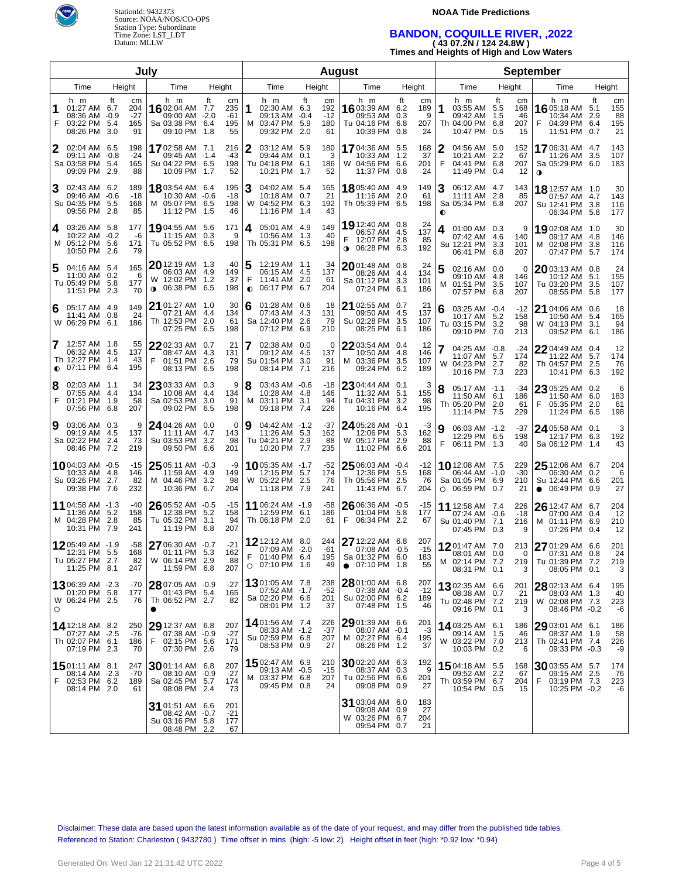

### **NOAA Tide Predictions**

# **BANDON, COQUILLE RIVER, ,2022 ( 43 07.2N / 124 24.8W )**

**Times and Heights of High and Low Waters**

|                |                                                                            |                                                | Julv                                                                               |                                            |                | <b>August</b>                                                               |        |                                 |                                                                                  |                     |                      | <b>September</b>                                                               |                                                        |                                                                              |            |                              |  |
|----------------|----------------------------------------------------------------------------|------------------------------------------------|------------------------------------------------------------------------------------|--------------------------------------------|----------------|-----------------------------------------------------------------------------|--------|---------------------------------|----------------------------------------------------------------------------------|---------------------|----------------------|--------------------------------------------------------------------------------|--------------------------------------------------------|------------------------------------------------------------------------------|------------|------------------------------|--|
| Height<br>Time |                                                                            |                                                | Time                                                                               | Height                                     |                | Time                                                                        | Height |                                 | Time                                                                             | Height              |                      | Time                                                                           | Height                                                 | Time                                                                         | Height     |                              |  |
| 1<br>F         | h m<br>01:27 AM 6.7<br>08:36 AM -0.9<br>03:22 PM 5.4<br>08:26 PM 3.0       | ft<br>cm<br>204<br>$-27$<br>165<br>91          | h m<br>16 02:04 AM 7.7<br>09:00 AM -2.0<br>Sa 03:38 PM 6.4<br>09:10 PM 1.8         | ft<br>cm<br>235<br>-61<br>195<br>55        | 1<br>M         | h m<br>02:30 AM 6.3<br>09:13 AM -0.4<br>03:47 PM 5.9<br>09:32 PM 2.0        | ft     | cm<br>192<br>$-12$<br>180<br>61 | h m<br>16 03:39 AM 6.2<br>09:53 AM 0.3<br>Tu 04:16 PM 6.8<br>10:39 PM 0.8        | ft<br>207           | cm<br>189<br>9<br>24 | h m<br>1<br>03:55 AM 5.5<br>09:42 AM<br>Th 04:00 PM<br>10:47 PM                | Ħ<br>cm<br>168<br>1.5<br>46<br>207<br>6.8<br>0.5<br>15 | h m<br>16 05:18 AM 5.1<br>10:34 AM<br>04:39 PM 6.4<br>11:51 PM 0.7           | ft<br>2.9  | cm<br>155<br>88<br>195<br>21 |  |
| 2              | 02:04 AM 6.5<br>09:11 AM -0.8<br>Sa 03:58 PM 5.4<br>09:09 PM 2.9           | 198<br>$-24$<br>165<br>88                      | 17 02:58 AM 7.1<br>09:45 AM -1.4<br>Su 04:22 PM 6.5<br>10:09 PM 1.7                | 216<br>-43<br>198<br>52                    |                | 03:12 AM 5.9<br>09:44 AM 0.1<br>Tu 04:18 PM 6.1<br>10:21 PM 1.7             |        | 180<br>3<br>186<br>52           | <b>17</b> 04:36 AM<br>10:33 AM<br>W 04:56 PM 6.6<br>11:37 PM 0.8                 | 5.5<br>1.2<br>201   | 168<br>37<br>24      | 04:56 AM 5.0<br>10:21 AM<br>F<br>04:41 PM<br>11:49 PM 0.4                      | 152<br>2.2<br>67<br>6.8<br>207<br>-12                  | 1706:31 AM 4.7<br>11:26 AM 3.5<br>Sa 05:29 PM 6.0<br>$\mathbf o$             |            | 143<br>107<br>183            |  |
| 3              | 02:43 AM 6.2<br>09:46 AM -0.6<br>Su 04:35 PM 5.5<br>09:56 PM 2.8           | 189<br>-18<br>168<br>85                        | 18 03:54 AM 6.4<br>10:30 AM -0.6<br>M 05:07 PM 6.5<br>11:12 PM 1.5                 | 195<br>$-18$<br>198<br>46                  | 3              | 04:02 AM 5.4<br>10:18 AM 0.7<br>W 04:52 PM 6.3<br>11:16 PM 1.4              |        | 165<br>21<br>192<br>43          | 18 05:40 AM 4.9<br>11:16 AM<br>Th 05:39 PM 6.5                                   | 149<br>2.0          | 61<br>198            | 3<br>06:12 AM 4.7<br>11:11 AM 2.8<br>Sa 05:34 PM 6.8<br>$\bullet$              | 143<br>85<br>207                                       | 18 12:57 AM 1.0<br>07:57 AM 4.7<br>Su 12:41 PM 3.8<br>06:34 PM 5.8           |            | 30<br>143<br>116<br>177      |  |
| 4              | 03:26 AM 5.8<br>10:22 AM -0.2<br>M 05:12 PM 5.6<br>10:50 PM 2.6            | 177<br>-6<br>171<br>79                         | 1904:55 AM 5.6<br>11:15 AM 0.3<br>Tu 05:52 PM 6.5                                  | 171<br>9<br>198                            | 4              | 05:01 AM 4.9<br>10:56 AM 1.3<br>Th 05:31 PM 6.5                             |        | 149<br>40<br>198                | 19 12:40 AM 0.8<br>06:57 AM 4.5<br>12:07 PM 2.8<br>$0.06:28$ PM 6.3              | 137<br>192          | 24<br>85             | 01:00 AM 0.3<br>4<br>07:42 AM<br>Su 12:21 PM 3.3<br>06:41 PM 6.8               | 9<br>4.6<br>140<br>101<br>207                          | 19 02:08 AM 1.0<br>09:17 AM 4.8<br>M 02:08 PM 3.8<br>07:47 PM 5.7            |            | 30<br>146<br>116<br>174      |  |
| 5              | 04:16 AM 5.4<br>11:00 AM 0.2<br>Tu 05:49 PM 5.8<br>11:51 PM 2.3            | 165<br>6<br>177<br>70                          | $20$ 12:19 AM $\,$ 1.3 $\,$<br>06:03 AM 4.9<br>W 12:02 PM 1.2<br>06:38 PM 6.5<br>0 | 40<br>149<br>37<br>198                     | F<br>$\bullet$ | 12:19 AM 1.1<br>06:15 AM 4.5<br>11:41 AM 2.0<br>06:17 PM 6.7                |        | 34<br>137<br>61<br>204          | $20$ 01:48 AM 0.8<br>08:26 AM 4.4<br>Sa 01:12 PM 3.3<br>07:24 PM 6.1             | 134<br>101<br>186   | 24                   | 02:16 AM 0.0<br>09:10 AM<br>01:51 PM<br>M<br>07:57 PM 6.8                      | 0<br>4.8<br>146<br>3.5<br>107<br>207                   | 2003:13 AM 0.8<br>10:12 AM<br>Tu 03:20 PM 3.5<br>08:55 PM 5.8                | 5.1        | 24<br>155<br>107<br>177      |  |
| 6              | 05:17 AM 4.9<br>11:41 AM 0.8<br>W 06:29 PM 6.1                             | 149<br>24<br>186                               | 21 01:27 AM 1.0<br>07:21 AM<br>Th 12:53 PM 2.0<br>07:25 PM                         | 30<br>134<br>4.4<br>61<br>6.5<br>198       | 6              | $01:28$ AM $0.6$<br>07:43 AM 4.3<br>Sa 12:40 PM 2.6<br>07:12 PM 6.9         |        | 18<br>131<br>79<br>210          | 21 02:55 AM 0.7<br>09:50 AM 4.5<br>Su 02:28 PM 3.5<br>08:25 PM 6.1               | 137<br>107<br>186   | 21                   | 03:25 AM -0.4<br>6<br>10:17 AM<br>Tu 03:15 PM<br>09:10 PM 7.0                  | $-12$<br>5.2<br>158<br>3.2<br>98<br>213                | $2104:06$ AM $0.6$<br>10:50 AM 5.4<br>W 04:13 PM<br>09:52 PM 6.1             | 3.1        | 18<br>165<br>94<br>186       |  |
|                | 12:57 AM 1.8<br>06:32 AM 4.5<br>Th 12:27 PM<br>$Q$ 07:11 PM 6.4            | 55<br>137<br>1.4<br>43<br>195                  | 22 02:33 AM 0.7<br>08:47 AM<br>F<br>01:51 PM<br>08:13 PM 6.5                       | 21<br>131<br>4.3<br>79<br>2.6<br>198       | 7              | $02:38$ AM $0.0$<br>09:12 AM 4.5<br>Su 01:54 PM<br>08:14 PM 7.1             | 3.0    | 0<br>137<br>91<br>216           | $2203:54$ AM 0.4<br>10:50 AM 4.8<br>M 03:36 PM 3.5<br>09:24 PM 6.2               | 146<br>107<br>189   | 12                   | 04:25 AM -0.8<br>11:07 AM 5.7<br>W 04:23 PM<br>10:16 PM 7.3                    | $-24$<br>174<br>2.7<br>82<br>223                       | 22 04:49 AM 0.4<br>11:22 AM<br>Th 04:57 PM<br>10:41 PM 6.3                   | 5.7<br>2.5 | 12<br>174<br>76<br>192       |  |
| 8<br>F         | 02:03 AM 1.1<br>07:55 AM<br>01:21 PM<br>07:56 PM                           | 34<br>134<br>-4.4<br>58<br>1.9<br>6.8<br>207   | $2303:33$ AM 0.3<br>10:08 AM<br>Sa 02:53 PM<br>09:02 PM                            | 9<br>134<br>4.4<br>91<br>3.0<br>6.5<br>198 | 8<br>м         | 03:43 AM -0.6<br>10:28 AM 4.8<br>03:11 PM 3.1<br>09:18 PM 7.4               |        | $-18$<br>146<br>94<br>226       | $2304:44$ AM $0.1$<br>11:32 AM 5.1<br>Tu 04:31 PM 3.2<br>10:16 PM 6.4            | 195                 | 3<br>155<br>98       | 8<br>05:17 AM -1.1<br>11:50 AM<br>Th 05:20 PM 2.0<br>11:14 PM 7.5              | -34<br>6.1<br>186<br>61<br>229                         | 23 05:25 AM 0.2<br>11:50 AM<br>F<br>05:35 PM<br>11:24 PM 6.5                 | 6.0<br>2.0 | 6<br>183<br>61<br>198        |  |
| 9              | 03:06 AM 0.3<br>09:19 AM 4.5<br>Sa 02:22 PM<br>08:46 PM                    | 9<br>137<br>73<br>2.4<br>7.2<br>219            | 24 04:26 AM 0.0<br>11:11 AM 4.7<br>Su 03:53 PM 3.2<br>09:50 PM 6.6                 | 0<br>143<br>98<br>201                      | 9              | 04:42 AM -1.2<br>11:26 AM 5.3<br>Tu 04:21 PM 2.9<br>10:20 PM 7.7            |        | -37<br>162<br>88<br>235         | 24 05:26 AM -0.1<br>12:06 PM 5.3<br>W 05:17 PM 2.9<br>11:02 PM 6.6               | 201                 | -3<br>162<br>88      | 9<br>06:03 AM -1.2<br>12:29 PM 6.5<br>F<br>06:11 PM 1.3                        | -37<br>198<br>40                                       | $2405:58$ AM 0.1<br>12:17 PM 6.3<br>Sa 06:12 PM 1.4                          |            | 3<br>192<br>43               |  |
|                | 1004:03 AM -0.5<br>10:33 AM<br>Su 03:26 PM<br>09:38 PM                     | $-15$<br>4.8<br>146<br>2.7<br>82<br>7.6<br>232 | $2505:11$ AM $-0.3$<br>11:59 AM 4.9<br>M 04:46 PM 3.2<br>10:36 PM                  | -9<br>149<br>98<br>204<br>6.7              |                | <b>10</b> 05:35 AM -1.7<br>12:15 PM 5.7<br>W 05:22 PM 2.5<br>11:18 PM 7.9   |        | $-52$<br>174<br>76<br>241       | $2506:03$ AM $-0.4$<br>12:36 PM 5.5<br>Th 05:56 PM 2.5<br>11:43 PM 6.7           | 168<br>204          | -12<br>76            | <b>10</b> 12:08 AM 7.5<br>06:44 AM -1.0<br>Sa 01:05 PM 6.9<br>$O$ 06:59 PM 0.7 | 229<br>$-30$<br>210<br>21                              | $2512:06$ AM 6.7<br>06:30 AM 0.2<br>Su 12:44 PM 6.6<br>06:49 PM<br>$\bullet$ | 0.9        | 204<br>6<br>201<br>27        |  |
|                | 11 04:58 AM -1.3<br>11:36 AM<br>M 04:28 PM<br>10:31 PM                     | $-40$<br>158<br>5.2<br>2.8<br>85<br>7.9<br>241 | $2605:52$ AM $-0.5$<br>12:38 PM 5.2<br>Tu 05:32 PM<br>11:19 PM 6.8                 | -15<br>158<br>94<br>3.1<br>207             |                | 11 06:24 AM -1.9<br>12:59 PM 6.1<br>Th 06:18 PM 2.0                         |        | -58<br>186<br>61                | $2606:36$ AM $-0.5$<br>01:04 PM<br>F.<br>06:34 PM 2.2                            | -15<br>5.8<br>177   | 67                   | <b>11</b> 12:58 AM 7.4<br>07:24 AM -0.6<br>Su 01:40 PM 7.1<br>07:45 PM 0.3     | 226<br>$-18$<br>216<br>9                               | 26 12:47 AM 6.7<br>07:00 AM 0.4<br>M 01:11 PM 6.9<br>07:26 PM                | 0.4        | 204<br>12<br>210<br>12       |  |
|                | 1205:49 AM -1.9<br>12:31 PM 5.5<br>Tu 05:27 PM 2.7<br>11:25 PM 8.1         | -58<br>168<br>82<br>247                        | 27 06:30 AM -0.7<br>01:11 PM 5.3<br>W 06:14 PM 2.9<br>11:59 PM 6.8                 | $-21$<br>162<br>88<br>207                  | F              | <b>12</b> 12:12 AM 8.0<br>07:09 AM -2.0<br>01:40 PM 6.4<br>$O$ 07:10 PM 1.6 |        | 244<br>-61<br>195<br>49         | 27 12:22 AM 6.8<br>07:08 AM -0.5<br>Sa 01:32 PM 6.0<br>07:10 PM 1.8<br>$\bullet$ | 207<br>183          | $-15$<br>55          | 1201:47 AM 7.0<br>08:01 AM 0.0<br>M 02:14 PM 7.2<br>08:31 PM 0.1               | 213<br>0<br>219<br>3                                   | 27 01:29 AM 6.6<br>07:31 AM<br>Tu 01:39 PM 7.2<br>08:05 PM 0.1               | 0.8        | 201<br>24<br>219<br>3        |  |
| $\circ$        | 1306:39 AM -2.3<br>01:20 PM 5.8<br>W 06:24 PM 2.5                          | -70<br>177<br>76                               | 28 07:05 AM -0.9<br>01:43 PM 5.4<br>Th 06:52 PM 2.7                                | $-27$<br>165<br>82                         |                | <b>13</b> 01:05 AM 7.8<br>07:52 AM -1.7<br>Sa 02:20 PM 6.6<br>08:01 PM 1.2  |        | 238<br>-52<br>201<br>37         | 28 01:00 AM 6.8<br>07:38 AM -0.4<br>Su 02:00 PM 6.2<br>07:48 PM 1.5              | 207<br>$-12$<br>189 | 46                   | 1302:35 AM 6.6<br>08:38 AM 0.7<br>Tu 02:48 PM 7.2<br>09:16 PM 0.1              | 201<br>21<br>219<br>3                                  | 28 02:13 AM 6.4<br>08:03 AM 1.3<br>W 02:08 PM 7.3<br>08:46 PM -0.2           |            | 195<br>40<br>223<br>-6       |  |
|                | <b>14</b> 12:18 AM 8.2<br>07:27 AM -2.5<br>Th 02:07 PM 6.1<br>07:19 PM 2.3 | 250<br>-76<br>186<br>70                        | 29 12:37 AM 6.8<br>07:38 AM -0.9<br>F<br>02:15 PM 5.6<br>07:30 PM 2.6              | 207<br>$-27$<br>171<br>79                  |                | 1401:56 AM 7.4<br>08:33 AM -1.2<br>Su 02:59 PM 6.8<br>08:53 PM 0.9          |        | 226<br>$-37$<br>207<br>27       | 29 01:39 AM 6.6<br>08:07 AM -0.1<br>M 02:27 PM 6.4<br>08:26 PM 1.2               | 201<br>195          | -3<br>37             | 14 03:25 AM 6.1<br>09:14 AM 1.5<br>W 03:22 PM 7.0<br>10:03 PM 0.2              | 186<br>46<br>213<br>6                                  | 29 03:01 AM 6.1<br>08:37 AM 1.9<br>Th 02:41 PM 7.4<br>09:33 PM -0.3          |            | 186<br>58<br>226<br>-9       |  |
| F              | 1501:11 AM 8.1<br>08:14 AM -2.3<br>02:53 PM 6.2<br>08:14 PM 2.0            | 247<br>-70<br>189<br>61                        | $30$ 01:14 AM 6.8<br>08:10 AM -0.9<br>Sa 02:45 PM 5.7<br>08:08 PM 2.4              | 207<br>-27<br>174<br>73                    | M              | 1502:47 AM 6.9<br>09:13 AM -0.5<br>03:37 PM 6.8<br>09:45 PM 0.8             |        | 210<br>$-15$<br>207<br>24       | 30 02:20 AM 6.3<br>08:37 AM 0.3<br>Tu 02:56 PM 6.6<br>09:08 PM 0.9               | 192<br>201          | 9<br>27              | 15 04:18 AM 5.5<br>09:52 AM<br>Th 03:59 PM 6.7<br>10:54 PM 0.5                 | 168<br>2.2<br>67<br>204<br>15                          | 3003:55 AM 5.7<br>09:15 AM 2.5<br>F<br>03:19 PM 7.3<br>10:25 PM -0.2         |            | 174<br>76<br>223<br>-6       |  |
|                |                                                                            |                                                | 31 01:51 AM 6.6<br>08:42 AM -0.7<br>Su 03:16 PM 5.8<br>08:48 PM 2.2                | 201<br>$-21$<br>177<br>67                  |                |                                                                             |        |                                 | 31 03:04 AM 6.0<br>09:08 AM 0.9<br>W 03:26 PM 6.7<br>09:54 PM 0.7                | 183                 | 27<br>204<br>21      |                                                                                |                                                        |                                                                              |            |                              |  |